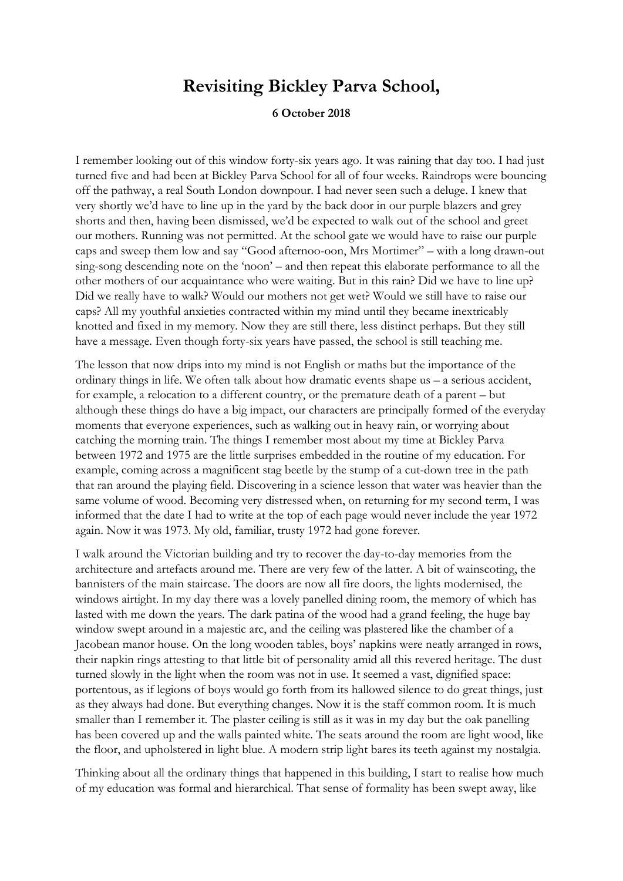## **Revisiting Bickley Parva School,**

## **6 October 2018**

I remember looking out of this window forty-six years ago. It was raining that day too. I had just turned five and had been at Bickley Parva School for all of four weeks. Raindrops were bouncing off the pathway, a real South London downpour. I had never seen such a deluge. I knew that very shortly we'd have to line up in the yard by the back door in our purple blazers and grey shorts and then, having been dismissed, we'd be expected to walk out of the school and greet our mothers. Running was not permitted. At the school gate we would have to raise our purple caps and sweep them low and say "Good afternoo-oon, Mrs Mortimer" – with a long drawn-out sing-song descending note on the 'noon' – and then repeat this elaborate performance to all the other mothers of our acquaintance who were waiting. But in this rain? Did we have to line up? Did we really have to walk? Would our mothers not get wet? Would we still have to raise our caps? All my youthful anxieties contracted within my mind until they became inextricably knotted and fixed in my memory. Now they are still there, less distinct perhaps. But they still have a message. Even though forty-six years have passed, the school is still teaching me.

The lesson that now drips into my mind is not English or maths but the importance of the ordinary things in life. We often talk about how dramatic events shape us – a serious accident, for example, a relocation to a different country, or the premature death of a parent – but although these things do have a big impact, our characters are principally formed of the everyday moments that everyone experiences, such as walking out in heavy rain, or worrying about catching the morning train. The things I remember most about my time at Bickley Parva between 1972 and 1975 are the little surprises embedded in the routine of my education. For example, coming across a magnificent stag beetle by the stump of a cut-down tree in the path that ran around the playing field. Discovering in a science lesson that water was heavier than the same volume of wood. Becoming very distressed when, on returning for my second term, I was informed that the date I had to write at the top of each page would never include the year 1972 again. Now it was 1973. My old, familiar, trusty 1972 had gone forever.

I walk around the Victorian building and try to recover the day-to-day memories from the architecture and artefacts around me. There are very few of the latter. A bit of wainscoting, the bannisters of the main staircase. The doors are now all fire doors, the lights modernised, the windows airtight. In my day there was a lovely panelled dining room, the memory of which has lasted with me down the years. The dark patina of the wood had a grand feeling, the huge bay window swept around in a majestic arc, and the ceiling was plastered like the chamber of a Jacobean manor house. On the long wooden tables, boys' napkins were neatly arranged in rows, their napkin rings attesting to that little bit of personality amid all this revered heritage. The dust turned slowly in the light when the room was not in use. It seemed a vast, dignified space: portentous, as if legions of boys would go forth from its hallowed silence to do great things, just as they always had done. But everything changes. Now it is the staff common room. It is much smaller than I remember it. The plaster ceiling is still as it was in my day but the oak panelling has been covered up and the walls painted white. The seats around the room are light wood, like the floor, and upholstered in light blue. A modern strip light bares its teeth against my nostalgia.

Thinking about all the ordinary things that happened in this building, I start to realise how much of my education was formal and hierarchical. That sense of formality has been swept away, like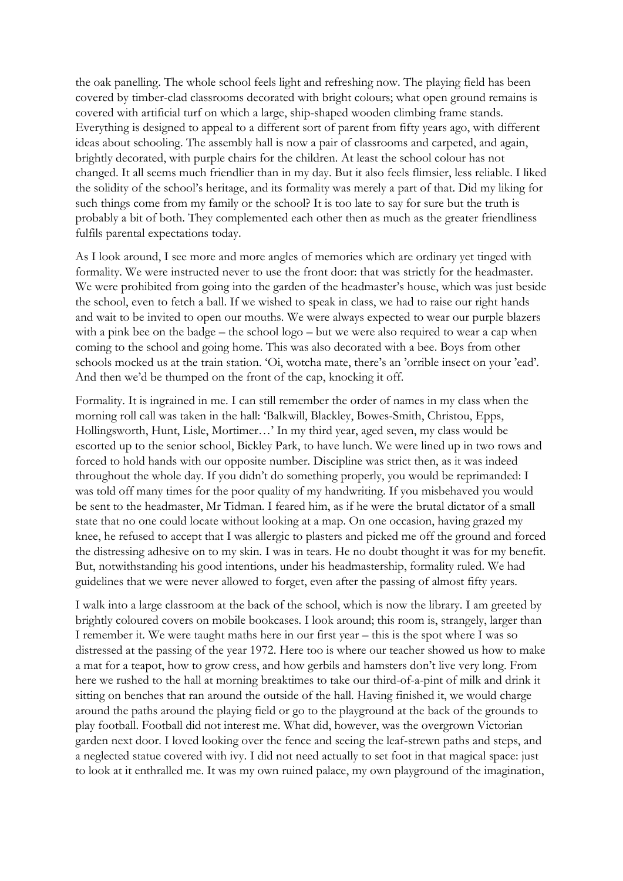the oak panelling. The whole school feels light and refreshing now. The playing field has been covered by timber-clad classrooms decorated with bright colours; what open ground remains is covered with artificial turf on which a large, ship-shaped wooden climbing frame stands. Everything is designed to appeal to a different sort of parent from fifty years ago, with different ideas about schooling. The assembly hall is now a pair of classrooms and carpeted, and again, brightly decorated, with purple chairs for the children. At least the school colour has not changed. It all seems much friendlier than in my day. But it also feels flimsier, less reliable. I liked the solidity of the school's heritage, and its formality was merely a part of that. Did my liking for such things come from my family or the school? It is too late to say for sure but the truth is probably a bit of both. They complemented each other then as much as the greater friendliness fulfils parental expectations today.

As I look around, I see more and more angles of memories which are ordinary yet tinged with formality. We were instructed never to use the front door: that was strictly for the headmaster. We were prohibited from going into the garden of the headmaster's house, which was just beside the school, even to fetch a ball. If we wished to speak in class, we had to raise our right hands and wait to be invited to open our mouths. We were always expected to wear our purple blazers with a pink bee on the badge – the school logo – but we were also required to wear a cap when coming to the school and going home. This was also decorated with a bee. Boys from other schools mocked us at the train station. 'Oi, wotcha mate, there's an 'orrible insect on your 'ead'. And then we'd be thumped on the front of the cap, knocking it off.

Formality. It is ingrained in me. I can still remember the order of names in my class when the morning roll call was taken in the hall: 'Balkwill, Blackley, Bowes-Smith, Christou, Epps, Hollingsworth, Hunt, Lisle, Mortimer…' In my third year, aged seven, my class would be escorted up to the senior school, Bickley Park, to have lunch. We were lined up in two rows and forced to hold hands with our opposite number. Discipline was strict then, as it was indeed throughout the whole day. If you didn't do something properly, you would be reprimanded: I was told off many times for the poor quality of my handwriting. If you misbehaved you would be sent to the headmaster, Mr Tidman. I feared him, as if he were the brutal dictator of a small state that no one could locate without looking at a map. On one occasion, having grazed my knee, he refused to accept that I was allergic to plasters and picked me off the ground and forced the distressing adhesive on to my skin. I was in tears. He no doubt thought it was for my benefit. But, notwithstanding his good intentions, under his headmastership, formality ruled. We had guidelines that we were never allowed to forget, even after the passing of almost fifty years.

I walk into a large classroom at the back of the school, which is now the library. I am greeted by brightly coloured covers on mobile bookcases. I look around; this room is, strangely, larger than I remember it. We were taught maths here in our first year – this is the spot where I was so distressed at the passing of the year 1972. Here too is where our teacher showed us how to make a mat for a teapot, how to grow cress, and how gerbils and hamsters don't live very long. From here we rushed to the hall at morning breaktimes to take our third-of-a-pint of milk and drink it sitting on benches that ran around the outside of the hall. Having finished it, we would charge around the paths around the playing field or go to the playground at the back of the grounds to play football. Football did not interest me. What did, however, was the overgrown Victorian garden next door. I loved looking over the fence and seeing the leaf-strewn paths and steps, and a neglected statue covered with ivy. I did not need actually to set foot in that magical space: just to look at it enthralled me. It was my own ruined palace, my own playground of the imagination,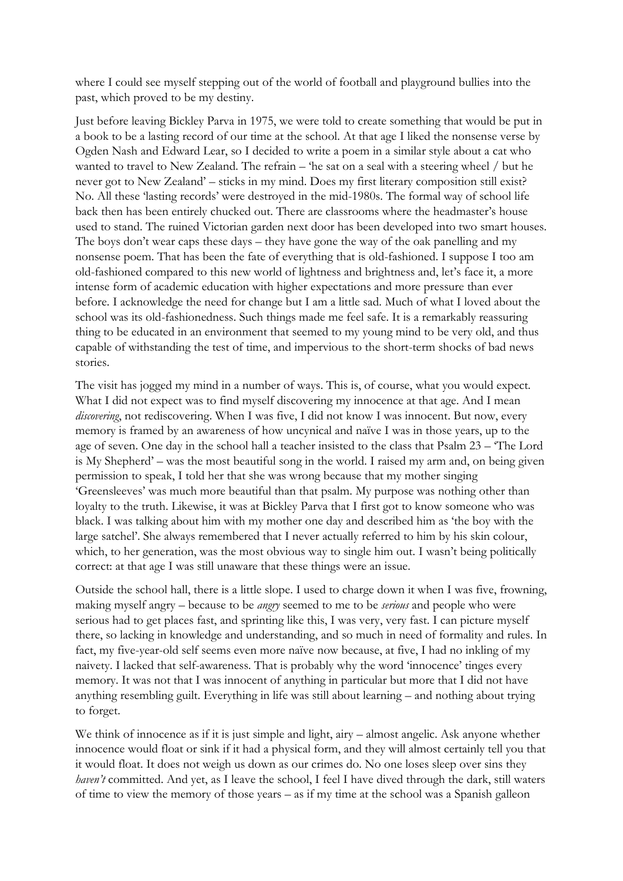where I could see myself stepping out of the world of football and playground bullies into the past, which proved to be my destiny.

Just before leaving Bickley Parva in 1975, we were told to create something that would be put in a book to be a lasting record of our time at the school. At that age I liked the nonsense verse by Ogden Nash and Edward Lear, so I decided to write a poem in a similar style about a cat who wanted to travel to New Zealand. The refrain – 'he sat on a seal with a steering wheel / but he never got to New Zealand' – sticks in my mind. Does my first literary composition still exist? No. All these 'lasting records' were destroyed in the mid-1980s. The formal way of school life back then has been entirely chucked out. There are classrooms where the headmaster's house used to stand. The ruined Victorian garden next door has been developed into two smart houses. The boys don't wear caps these days – they have gone the way of the oak panelling and my nonsense poem. That has been the fate of everything that is old-fashioned. I suppose I too am old-fashioned compared to this new world of lightness and brightness and, let's face it, a more intense form of academic education with higher expectations and more pressure than ever before. I acknowledge the need for change but I am a little sad. Much of what I loved about the school was its old-fashionedness. Such things made me feel safe. It is a remarkably reassuring thing to be educated in an environment that seemed to my young mind to be very old, and thus capable of withstanding the test of time, and impervious to the short-term shocks of bad news stories.

The visit has jogged my mind in a number of ways. This is, of course, what you would expect. What I did not expect was to find myself discovering my innocence at that age. And I mean *discovering*, not rediscovering. When I was five, I did not know I was innocent. But now, every memory is framed by an awareness of how uncynical and naïve I was in those years, up to the age of seven. One day in the school hall a teacher insisted to the class that Psalm 23 – 'The Lord is My Shepherd' – was the most beautiful song in the world. I raised my arm and, on being given permission to speak, I told her that she was wrong because that my mother singing 'Greensleeves' was much more beautiful than that psalm. My purpose was nothing other than loyalty to the truth. Likewise, it was at Bickley Parva that I first got to know someone who was black. I was talking about him with my mother one day and described him as 'the boy with the large satchel'. She always remembered that I never actually referred to him by his skin colour, which, to her generation, was the most obvious way to single him out. I wasn't being politically correct: at that age I was still unaware that these things were an issue.

Outside the school hall, there is a little slope. I used to charge down it when I was five, frowning, making myself angry – because to be *angry* seemed to me to be *serious* and people who were serious had to get places fast, and sprinting like this, I was very, very fast. I can picture myself there, so lacking in knowledge and understanding, and so much in need of formality and rules. In fact, my five-year-old self seems even more naïve now because, at five, I had no inkling of my naivety. I lacked that self-awareness. That is probably why the word 'innocence' tinges every memory. It was not that I was innocent of anything in particular but more that I did not have anything resembling guilt. Everything in life was still about learning – and nothing about trying to forget.

We think of innocence as if it is just simple and light, airy – almost angelic. Ask anyone whether innocence would float or sink if it had a physical form, and they will almost certainly tell you that it would float. It does not weigh us down as our crimes do. No one loses sleep over sins they *haven't* committed. And yet, as I leave the school, I feel I have dived through the dark, still waters of time to view the memory of those years – as if my time at the school was a Spanish galleon